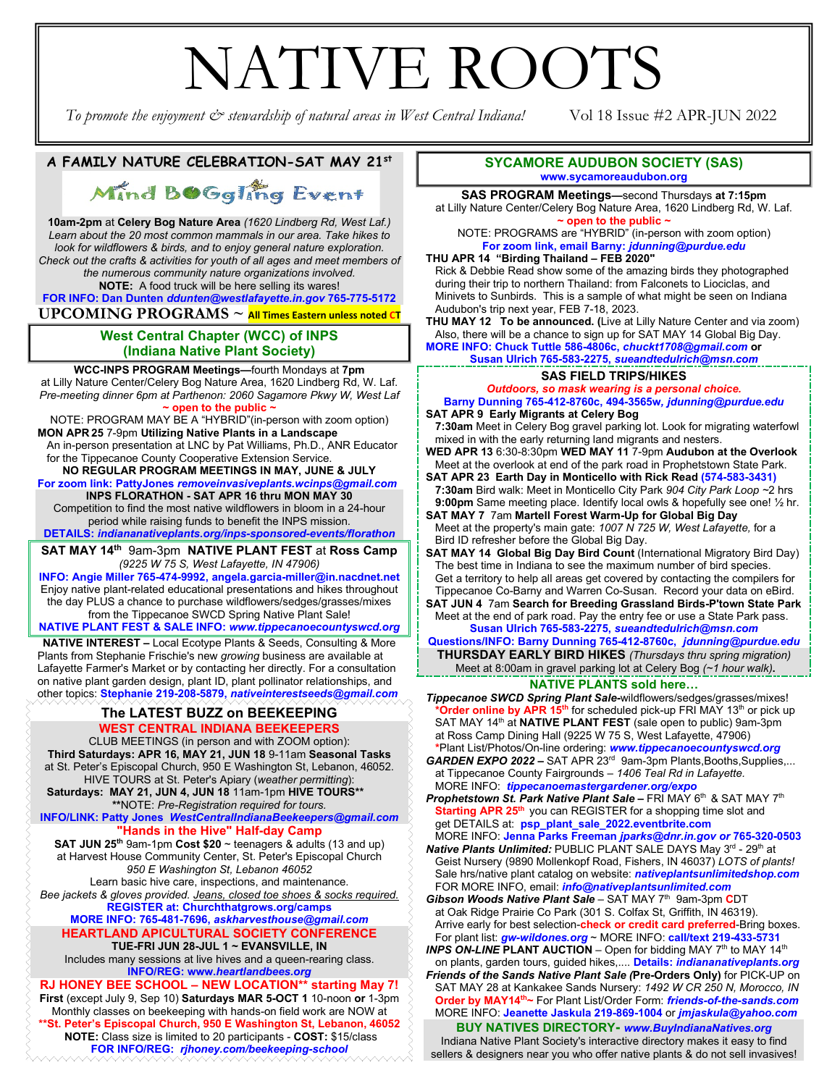# NATIVE ROOTS

*To promote the enjoyment*  $\mathcal{O}'$  *stewardship of natural areas in West Central Indiana!* Vol 18 Issue #2 APR-JUN 2022

### **A FAMILY NATURE CELEBRATION-SAT MAY 21st**

I

I

# Mind BOGgling Event

**10am-2pm** at **Celery Bog Nature Area** *(1620 Lindberg Rd, West Laf.) Learn about the 20 most common mammals in our area. Take hikes to look for wildflowers & birds, and to enjoy general nature exploration. Check out the crafts & activities for youth of all ages and meet members of the numerous community nature organizations involved.* **NOTE:**A food truck will be here selling its wares! **FOR INFO: Dan Dunten** *ddunten@westlafayette.in.gov* **765-775-5172 UPCOMING PROGRAMS ~ All Times Eastern unless noted CT**

#### **West Central Chapter (WCC) of INPS (Indiana Native Plant Society)**

**WCC-INPS PROGRAM Meetings—**fourth Mondays at **7pm**  at Lilly Nature Center/Celery Bog Nature Area, 1620 Lindberg Rd, W. Laf. *Pre-meeting dinner 6pm at Parthenon: 2060 Sagamore Pkwy W, West Laf* **~ open to the public ~** 

NOTE: PROGRAM MAY BE A "HYBRID"(in-person with zoom option) **MON APR 25** 7-9pm **Utilizing Native Plants in a Landscape**

 An in-person presentation at LNC by Pat Williams, Ph.D., ANR Educator for the Tippecanoe County Cooperative Extension Service.

**NO REGULAR PROGRAM MEETINGS IN MAY, JUNE & JULY For zoom link: PattyJones** *removeinvasiveplants.wcinps@gmail.com* **INPS FLORATHON - SAT APR 16 thru MON MAY 30**  Competition to find the most native wildflowers in bloom in a 24-hour period while raising funds to benefit the INPS mission.

**DETAILS:** *indiananativeplants.org/inps-sponsored-events/florathon*

**SAT MAY 14th** 9am-3pm **NATIVE PLANT FEST** at **Ross Camp**  *(9225 W 75 S, West Lafayette, IN 47906)* 

**INFO: Angie Miller 765-474-9992, angela.garcia-miller@in.nacdnet.net** Enjoy native plant-related educational presentations and hikes throughout the day PLUS a chance to purchase wildflowers/sedges/grasses/mixes from the Tippecanoe SWCD Spring Native Plant Sale!

**NATIVE PLANT FEST & SALE INFO:** *www.tippecanoecountyswcd.org*

**NATIVE INTEREST –** Local Ecotype Plants & Seeds, Consulting & More Plants from Stephanie Frischie's new *growing* business are available at Lafayette Farmer's Market or by contacting her directly. For a consultation on native plant garden design, plant ID, plant pollinator relationships, and other topics: **Stephanie 219-208-5879,** *nativeinterestseeds@gmail.com*

#### **The LATEST BUZZ on BEEKEEPING WEST CENTRAL INDIANA BEEKEEPERS**

CLUB MEETINGS (in person and with ZOOM option): **Third Saturdays: APR 16, MAY 21, JUN 18** 9-11am **Seasonal Tasks** at St. Peter's Episcopal Church, 950 E Washington St, Lebanon, 46052. HIVE TOURS at St. Peter's Apiary (*weather permitting*): **Saturdays: MAY 21, JUN 4, JUN 18** 11am-1pm **HIVE TOURS\*\***

**\*\***NOTE: *Pre-Registration required for tours.* **INFO/LINK: Patty Jones** *WestCentralIndianaBeekeepers@gmail.com*

**"Hands in the Hive" Half-day Camp SAT JUN 25<sup>th</sup> 9am-1pm Cost \$20** ~ teenagers & adults (13 and up) at Harvest House Community Center, St. Peter's Episcopal Church

*950 E Washington St, Lebanon 46052* Learn basic hive care, inspections, and maintenance.

*Bee jackets & gloves provided. Jeans, closed toe shoes & socks required.* **REGISTER at: Churchthatgrows.org/camps** 

#### **MORE INFO: 765-481-7696,** *askharvesthouse@gmail.com* **HEARTLAND APICULTURAL SOCIETY CONFERENCE**

**TUE-FRI JUN 28-JUL 1 ~ EVANSVILLE, IN** Includes many sessions at live hives and a queen-rearing class.

## **INFO/REG: www.***heartlandbees.org*

**RJ HONEY BEE SCHOOL – NEW LOCATION\*\* starting May 7! First** (except July 9, Sep 10) **Saturdays MAR 5-OCT 1** 10-noon **or** 1-3pm Monthly classes on beekeeping with hands-on field work are NOW at **\*\*St. Peter's Episcopal Church, 950 E Washington St, Lebanon, 46052 NOTE:** Class size is limited to 20 participants - **COST:** \$15/class **FOR INFO/REG:** *rjhoney.com/beekeeping-school*

#### **SYCAMORE AUDUBON SOCIETY (SAS) www.sycamoreaudubon.org**

**SAS PROGRAM Meetings—**second Thursdays **at 7:15pm** at Lilly Nature Center/Celery Bog Nature Area, 1620 Lindberg Rd, W. Laf. **~ open to the public ~**

NOTE: PROGRAMS are "HYBRID" (in-person with zoom option) **For zoom link, email Barny:** *jdunning@purdue.edu*

**THU APR 14 "Birding Thailand – FEB 2020"** 

 Rick & Debbie Read show some of the amazing birds they photographed during their trip to northern Thailand: from Falconets to Liociclas, and Minivets to Sunbirds. This is a sample of what might be seen on Indiana Audubon's trip next year, FEB 7-18, 2023.

**THU MAY 12 To be announced. (**Live at Lilly Nature Center and via zoom) Also, there will be a chance to sign up for SAT MAY 14 Global Big Day. **MORE INFO: Chuck Tuttle 586-4806c,** *chuckt1708@gmail.com* **or Susan Ulrich 765-583-2275,** *sueandtedulrich@msn.com*

#### **SAS FIELD TRIPS/HIKES**

*Outdoors, so mask wearing is a personal choice.*  **Barny Dunning 765-412-8760c, 494-3565w***, jdunning@purdue.edu*

- **SAT APR 9 Early Migrants at Celery Bog**
- **7:30am** Meet in Celery Bog gravel parking lot. Look for migrating waterfowl mixed in with the early returning land migrants and nesters.
- **WED APR 13** 6:30-8:30pm **WED MAY 11** 7-9pm **Audubon at the Overlook** Meet at the overlook at end of the park road in Prophetstown State Park.
- **SAT APR 23 Earth Day in Monticello with Rick Read (574-583-3431) 7:30am** Bird walk: Meet in Monticello City Park *904 City Park Loop ~*2 hrs **9:00pm** Same meeting place. Identify local owls & hopefully see one! ½ hr.
- **SAT MAY 7** 7am **Martell Forest Warm-Up for Global Big Day** Meet at the property's main gate: *1007 N 725 W, West Lafayette,* for a Bird ID refresher before the Global Big Day.

**SAT MAY 14 Global Big Day Bird Count (International Migratory Bird Day)**  The best time in Indiana to see the maximum number of bird species. Get a territory to help all areas get covered by contacting the compilers for Tippecanoe Co-Barny and Warren Co-Susan. Record your data on eBird.

**SAT JUN 4** 7am **Search for Breeding Grassland Birds-P'town State Park** Meet at the end of park road. Pay the entry fee or use a State Park pass. **Susan Ulrich 765-583-2275,** *sueandtedulrich@msn.com*

**Questions/INFO: Barny Dunning 765-412-8760c,** *jdunning@purdue.edu* **THURSDAY EARLY BIRD HIKES** *(Thursdays thru spring migration)*

Meet at 8:00am in gravel parking lot at Celery Bog *(~1 hour walk)***. NATIVE PLANTS sold here…**

*Tippecanoe SWCD Spring Plant Sale-*wildflowers/sedges/grasses/mixes! \*Order online by APR 15<sup>th</sup> for scheduled pick-up FRI MAY 13<sup>th</sup> or pick up SAT MAY 14<sup>th</sup> at **NATIVE PLANT FEST** (sale open to public) 9am-3pm at Ross Camp Dining Hall (9225 W 75 S, West Lafayette, 47906)  **\***Plant List/Photos/On-line ordering: *www.tippecanoecountyswcd.org*

GARDEN EXPO 2022 – SAT APR 23<sup>rd</sup> 9am-3pm Plants, Booths, Supplies,... at Tippecanoe County Fairgrounds *– 1406 Teal Rd in Lafayette.* MORE INFO: *tippecanoemastergardener.org/expo*

**Prophetstown St. Park Native Plant Sale - FRI MAY 6th & SAT MAY 7th Starting APR 25<sup>th</sup>** you can REGISTER for a shopping time slot and get DETAILS at: **psp\_plant\_sale\_2022.eventbrite.com**

 MORE INFO: **Jenna Parks Freeman** *jparks@dnr.in.gov or* **765-320-0503 Native Plants Unlimited: PUBLIC PLANT SALE DAYS May 3rd - 29th at**  Geist Nursery (9890 Mollenkopf Road, Fishers, IN 46037) *LOTS of plants!* Sale hrs/native plant catalog on website: *nativeplantsunlimitedshop.com* FOR MORE INFO, email: *info@nativeplantsunlimited.com*

Gibson Woods Native Plant Sale - SAT MAY 7<sup>th</sup> 9am-3pm CDT at Oak Ridge Prairie Co Park (301 S. Colfax St, Griffith, IN 46319). Arrive early for best selection-**check or credit card preferred**-Bring boxes. For plant list: *gw-wildones.org* ~ MORE INFO: **call/text 219-433-5731**

**INPS ON-LINE PLANT AUCTION** – Open for bidding MAY 7<sup>th</sup> to MAY 14<sup>th</sup> on plants, garden tours, guided hikes,.... **Details:** *indiananativeplants.org*

*Friends of the Sands Native Plant Sale (***Pre-Orders Only)** for PICK-UP on SAT MAY 28 at Kankakee Sands Nursery: *1492 W CR 250 N, Morocco, IN* **Order by MAY14<sup>th</sup>~** For Plant List/Order Form: *friends-of-the-sands.com* MORE INFO: **Jeanette Jaskula 219-869-1004** or *jmjaskula@yahoo.com* 

**BUY NATIVES DIRECTORY-** *www.BuyIndianaNatives.org* Indiana Native Plant Society's interactive directory makes it easy to find sellers & designers near you who offer native plants & do not sell invasives!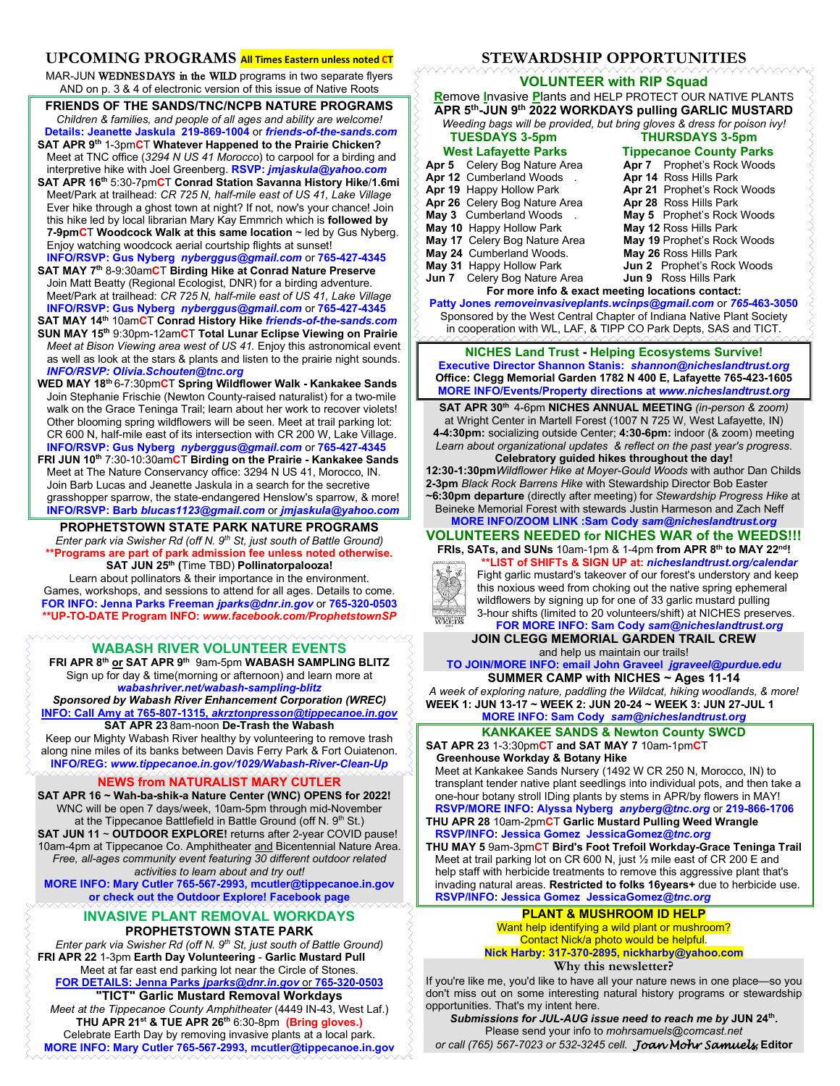#### **UPCOMING PROGRAMS All Times Eastern unless noted CT**

MAR-JUN WEDNESDAYS in the WILD programs in two separate flyers AND on p. 3 & 4 of electronic version of this issue of Native Roots

**FRIENDS OF THE SANDS/TNC/NCPB NATURE PROGRAMS**  *Children & families, and people of all ages and ability are welcome!* **Details: Jeanette Jaskula 219-869-1004** or *friends-of-the-sands.com*

- **SAT APR 9th** 1-3pm**C**T **Whatever Happened to the Prairie Chicken?** Meet at TNC office (*3294 N US 41 Morocco*) to carpool for a birding and interpretive hike with Joel Greenberg. **RSVP:** *jmjaskula@yahoo.com*
- **SAT APR 16th** 5:30-7pm**C**T **Conrad Station Savanna History Hike**/**1.6mi** Meet/Park at trailhead: *CR 725 N, half-mile east of US 41, Lake Village* Ever hike through a ghost town at night? If not, now's your chance! Join this hike led by local librarian Mary Kay Emmrich which is **followed by 7-9pmC**T **Woodcock Walk at this same location** ~ led by Gus Nyberg. Enjoy watching woodcock aerial courtship flights at sunset!

 **INFO/RSVP: Gus Nyberg** *nyberggus@gmail.com* or **765-427-4345 SAT MAY 7th** 8-9:30am**C**T **Birding Hike at Conrad Nature Preserve**

- Join Matt Beatty (Regional Ecologist, DNR) for a birding adventure. Meet/Park at trailhead: *CR 725 N, half-mile east of US 41, Lake Village* **INFO/RSVP: Gus Nyberg** *nyberggus@gmail.com* or **765-427-4345 SAT MAY 14th** 10am**C**T **Conrad History Hike** *friends-of-the-sands.com*
- **SUN MAY 15th** 9:30pm-12am**C**T **Total Lunar Eclipse Viewing on Prairie** *Meet at Bison Viewing area west of US 41.* Enjoy this astronomical event as well as look at the stars & plants and listen to the prairie night sounds.  *INFO/RSVP: Olivia.Schouten@tnc.org*
- **WED MAY 18th** 6-7:30pm**C**T **Spring Wildflower Walk Kankakee Sands** Join Stephanie Frischie (Newton County-raised naturalist) for a two-mile walk on the Grace Teninga Trail; learn about her work to recover violets! Other blooming spring wildflowers will be seen. Meet at trail parking lot:CR 600 N, half-mile east of its intersection with CR 200 W, Lake Village. **INFO/RSVP: Gus Nyberg** *nyberggus@gmail.com* or **765-427-4345**
- **FRI JUN 10th** 7:30-10:30am**C**T **Birding on the Prairie Kankakee Sands** Meet at The Nature Conservancy office: 3294 N US 41, Morocco, IN. Join Barb Lucas and Jeanette Jaskula in a search for the secretive grasshopper sparrow, the state-endangered Henslow's sparrow, & more!  **INFO/RSVP: Barb** *blucas1123@gmail.com* or *jmjaskula@yahoo.com*

**PROPHETSTOWN STATE PARK NATURE PROGRAMS** *Enter park via Swisher Rd (off N. 9th St, just south of Battle Ground)* **\*\*Programs are part of park admission fee unless noted otherwise.** 

**SAT JUN 25th (**Time TBD) **Pollinatorpalooza!** Learn about pollinators & their importance in the environment. Games, workshops, and sessions to attend for all ages. Details to come. **FOR INFO: Jenna Parks Freeman** *jparks@dnr.in.gov* or **765-320-0503 \*\*UP-TO-DATE Program INFO:** *www.facebook.com/ProphetstownSP*

#### **WABASH RIVER VOLUNTEER EVENTS**

**FRI APR 8th or SAT APR 9th** 9am-5pm **WABASH SAMPLING BLITZ** Sign up for day & time(morning or afternoon) and learn more at *wabashriver.net/wabash-sampling-blitz*

*Sponsored by Wabash River Enhancement Corporation (WREC)* **INFO: Call Amy at 765-807-1315,** *akrztonpresson@tippecanoe.in.gov* **SAT APR 23** 8am-noon **De-Trash the Wabash**

Keep our Mighty Wabash River healthy by volunteering to remove trash along nine miles of its banks between Davis Ferry Park & Fort Ouiatenon. **INFO/REG:** *www.tippecanoe.in.gov/1029/Wabash-River-Clean-Up*

#### **NEWS from NATURALIST MARY CUTLER**

**SAT APR 16 ~ Wah-ba-shik-a Nature Center (WNC) OPENS for 2022!** WNC will be open 7 days/week, 10am-5pm through mid-November at the Tippecanoe Battlefield in Battle Ground (off N. 9<sup>th</sup> St.) **SAT JUN 11** ~ **OUTDOOR EXPLORE!** returns after 2-year COVID pause! 10am-4pm at Tippecanoe Co. Amphitheater and Bicentennial Nature Area. *Free, all-ages community event featuring 30 different outdoor related activities to learn about and try out!*

**MORE INFO: Mary Cutler 765-567-2993, mcutler@tippecanoe.in.gov or check out the Outdoor Explore! Facebook page**

#### **INVASIVE PLANT REMOVAL WORKDAYS PROPHETSTOWN STATE PARK**

*Enter park via Swisher Rd (off N. 9th St, just south of Battle Ground)* **FRI APR 22** 1-3pm **Earth Day Volunteering** - **Garlic Mustard Pull** Meet at far east end parking lot near the Circle of Stones. **FOR DETAILS: Jenna Parks** *jparks@dnr.in.gov* or **765-320-0503**

**"TICT" Garlic Mustard Removal Workdays** *Meet at the Tippecanoe County Amphitheater* (4449 IN-43, West Laf.) **THU APR 21st & TUE APR 26th** 6:30-8pm **(Bring gloves.)** Celebrate Earth Day by removing invasive plants at a local park.

**MORE INFO: Mary Cutler 765-567-2993, mcutler@tippecanoe.in.gov**

#### **STEWARDSHIP OPPORTUNITIES**

#### **VOLUNTEER with RIP Squad**

**R**emove **I**nvasive **P**lants and HELP PROTECT OUR NATIVE PLANTS **APR 5th-JUN 9th 2022 WORKDAYS pulling GARLIC MUSTARD** *Weeding bags will be provided, but bring gloves & dress for poison ivy!*  **TUESDAYS 3-5pm THURSDAYS 3-5pm** 

- **West Lafayette Parks Tippecanoe County Parks**<br>**The Selvan Bog Nature Area Apr 7** Prophet's Rock Woods **Apr 5** Celery Bog Nature Area **Apr 7** Prophet's Rock **Apr 12** Cumberland Woods **Apr 14** Ross Hills Park **Apr 12 Cumberland Woods** .<br>**Apr 19 Happy Hollow Park Apr 26 Celery Bog Nature Area May 3 Cumberland Woods**
- Apr 21 Prophet's Rock Woods<br>Apr 28 Ross Hills Park **May 5** Prophet's Rock Woods **May 12** Ross Hills Park **May 10** Happy Hollow Park **May 12** Ross Hills Park **May 17 Celery Bog Nature Area May 19 Prophet's Rock May 24 Cumberland Woods. May 26 Ross Hills Park May 24** Cumberland Woods. **May 26** Ross Hills Park **May 31 Happy Hollow Park <b>Jun 2** Prophet's Rock<br> **Jun 7** Celery Bog Nature Area **Jun 9** Ross Hills Park
- **Jun 7** Celery Bog Nature Area

**For more info & exact meeting locations contact: Patty Jones** *removeinvasiveplants.wcinps@gmail.com* or *765-***463-3050**

Sponsored by the West Central Chapter of Indiana Native Plant Society in cooperation with WL, LAF, & TIPP CO Park Depts, SAS and TICT.

**NICHES Land Trust - Helping Ecosystems Survive! Executive Director Shannon Stanis:** *shannon@nicheslandtrust.org* **Office: Clegg Memorial Garden 1782 N 400 E, Lafayette 765-423-1605 MORE INFO/Events/Property directions at** *www.nicheslandtrust.org* 

**SAT APR 30th** 4-6pm **NICHES ANNUAL MEETING** *(in-person & zoom)* at Wright Center in Martell Forest (1007 N 725 W, West Lafayette, IN) **4-4:30pm:** socializing outside Center; **4:30-6pm:** indoor (& zoom) meeting *Learn about organizational updates & reflect on the past year's progress*. **Celebratory guided hikes throughout the day!** 

**12:30-1:30pm***Wildflower Hike at Moyer-Gould Woods* with author Dan Childs **2-3pm** *Black Rock Barrens Hike* with Stewardship Director Bob Easter **~6:30pm departure** (directly after meeting) for *Stewardship Progress Hike* at Beineke Memorial Forest with stewards Justin Harmeson and Zach Neff

**MORE INFO/ZOOM LINK :Sam Cody** *sam@nicheslandtrust.org*

#### **VOLUNTEERS NEEDED for NICHES WAR of the WEEDS!!! FRIs, SATs, and SUNs** 10am-1pm & 1-4pm **from APR 8th to MAY 22nd!**



**\*\*LIST of SHIFTs & SIGN UP at:** *nicheslandtrust.org/calendar* Fight garlic mustard's takeover of our forest's understory and keep this noxious weed from choking out the native spring ephemeral wildflowers by signing up for one of 33 garlic mustard pulling 3-hour shifts (limited to 20 volunteers/shift) at NICHES preserves. **FOR MORE INFO: Sam Cody** *sam@nicheslandtrust.org*

#### **JOIN CLEGG MEMORIAL GARDEN TRAIL CREW** and help us maintain our trails!

**TO JOIN/MORE INFO: email John Graveel** *jgraveel@purdue.edu* **SUMMER CAMP with NICHES ~ Ages 11-14**

*A week of exploring nature, paddling the Wildcat, hiking woodlands, & more!* **WEEK 1: JUN 13-17 ~ WEEK 2: JUN 20-24 ~ WEEK 3: JUN 27-JUL 1**

- **MORE INFO: Sam Cody** *sam@nicheslandtrust.org* **KANKAKEE SANDS & Newton County SWCD**
- **SAT APR 23** 1-3:30pm**C**T **and SAT MAY 7** 10am-1pm**C**T **Greenhouse Workday & Botany Hike**

 Meet at Kankakee Sands Nursery (1492 W CR 250 N, Morocco, IN) to transplant tender native plant seedlings into individual pots, and then take a one-hour botany stroll IDing plants by stems in APR/by flowers in MAY! **RSVP/MORE INFO: Alyssa Nyberg** *anyberg@tnc.org* or **219-866-1706**

**THU APR 28** 10am-2pm**C**T **Garlic Mustard Pulling Weed Wrangle RSVP/INFO: Jessica Gomez JessicaGomez***@tnc.org*

**THU MAY 5** 9am-3pm**C**T **Bird's Foot Trefoil Workday-Grace Teninga Trail** Meet at trail parking lot on CR 600 N, just ½ mile east of CR 200 E and help staff with herbicide treatments to remove this aggressive plant that's invading natural areas. **Restricted to folks 16years+** due to herbicide use. **RSVP/INFO: Jessica Gomez JessicaGomez***@tnc.org*

#### **PLANT & MUSHROOM ID HELP**

Want help identifying a wild plant or mushroom? Contact Nick/a photo would be helpful. **Nick Harby: 317-370-2895, nickharby@yahoo.com**

**Why this newsletter?**

If you're like me, you'd like to have all your nature news in one place—so you don't miss out on some interesting natural history programs or stewardship opportunities. That's my intent here.

*Submissions for JUL-AUG issue need to reach me by* **JUN 24th.** Please send your info to *mohrsamuels@comcast.net or call (765) 567-7023 or 532-3245 cell. Joan Mohr Samuels***, Editor**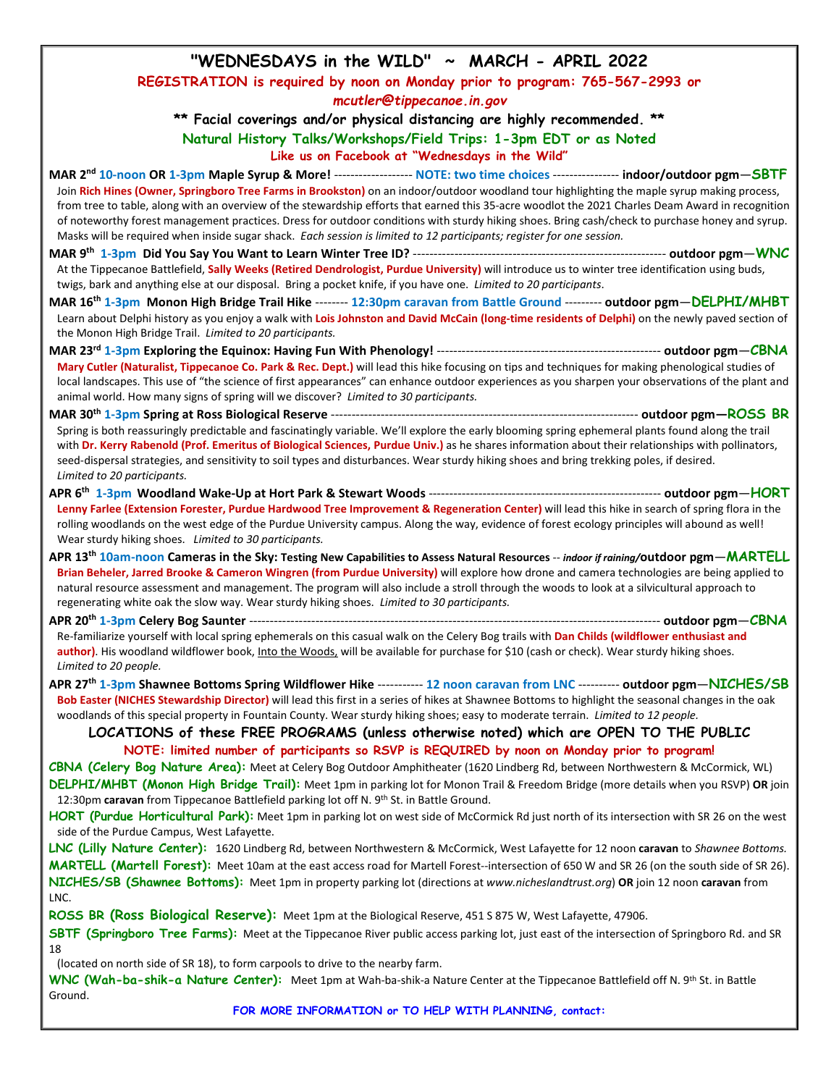| "WEDNESDAYS in the WILD" $\sim$ MARCH - APRIL 2022                                                                                                                                                                                                                                                                                                                                                                                                                                                                                                                           |
|------------------------------------------------------------------------------------------------------------------------------------------------------------------------------------------------------------------------------------------------------------------------------------------------------------------------------------------------------------------------------------------------------------------------------------------------------------------------------------------------------------------------------------------------------------------------------|
| REGISTRATION is required by noon on Monday prior to program: 765-567-2993 or                                                                                                                                                                                                                                                                                                                                                                                                                                                                                                 |
| mcutler@tippecanoe.in.gov                                                                                                                                                                                                                                                                                                                                                                                                                                                                                                                                                    |
| ** Facial coverings and/or physical distancing are highly recommended. **                                                                                                                                                                                                                                                                                                                                                                                                                                                                                                    |
| Natural History Talks/Workshops/Field Trips: 1-3pm EDT or as Noted                                                                                                                                                                                                                                                                                                                                                                                                                                                                                                           |
| Like us on Facebook at "Wednesdays in the Wild"                                                                                                                                                                                                                                                                                                                                                                                                                                                                                                                              |
| MAR 2 <sup>nd</sup> 10-noon OR 1-3pm Maple Syrup & More! -------------------- NOTE: two time choices ---------------- indoor/outdoor pgm-SBTF                                                                                                                                                                                                                                                                                                                                                                                                                                |
| Join Rich Hines (Owner, Springboro Tree Farms in Brookston) on an indoor/outdoor woodland tour highlighting the maple syrup making process,<br>from tree to table, along with an overview of the stewardship efforts that earned this 35-acre woodlot the 2021 Charles Deam Award in recognition<br>of noteworthy forest management practices. Dress for outdoor conditions with sturdy hiking shoes. Bring cash/check to purchase honey and syrup.<br>Masks will be required when inside sugar shack. Each session is limited to 12 participants; register for one session. |
|                                                                                                                                                                                                                                                                                                                                                                                                                                                                                                                                                                              |
| At the Tippecanoe Battlefield, Sally Weeks (Retired Dendrologist, Purdue University) will introduce us to winter tree identification using buds,<br>twigs, bark and anything else at our disposal. Bring a pocket knife, if you have one. Limited to 20 participants.                                                                                                                                                                                                                                                                                                        |
| MAR 16 <sup>th</sup> 1-3pm Monon High Bridge Trail Hike -------- 12:30pm caravan from Battle Ground --------- outdoor pgm-DELPHI/MHBT                                                                                                                                                                                                                                                                                                                                                                                                                                        |
| Learn about Delphi history as you enjoy a walk with Lois Johnston and David McCain (long-time residents of Delphi) on the newly paved section of<br>the Monon High Bridge Trail. Limited to 20 participants.                                                                                                                                                                                                                                                                                                                                                                 |
|                                                                                                                                                                                                                                                                                                                                                                                                                                                                                                                                                                              |
| Mary Cutler (Naturalist, Tippecanoe Co. Park & Rec. Dept.) will lead this hike focusing on tips and techniques for making phenological studies of<br>local landscapes. This use of "the science of first appearances" can enhance outdoor experiences as you sharpen your observations of the plant and<br>animal world. How many signs of spring will we discover? Limited to 30 participants.                                                                                                                                                                              |
|                                                                                                                                                                                                                                                                                                                                                                                                                                                                                                                                                                              |
| Spring is both reassuringly predictable and fascinatingly variable. We'll explore the early blooming spring ephemeral plants found along the trail<br>with Dr. Kerry Rabenold (Prof. Emeritus of Biological Sciences, Purdue Univ.) as he shares information about their relationships with pollinators,<br>seed-dispersal strategies, and sensitivity to soil types and disturbances. Wear sturdy hiking shoes and bring trekking poles, if desired.                                                                                                                        |
| Limited to 20 participants.                                                                                                                                                                                                                                                                                                                                                                                                                                                                                                                                                  |
| Lenny Farlee (Extension Forester, Purdue Hardwood Tree Improvement & Regeneration Center) will lead this hike in search of spring flora in the<br>rolling woodlands on the west edge of the Purdue University campus. Along the way, evidence of forest ecology principles will abound as well!<br>Wear sturdy hiking shoes. Limited to 30 participants.                                                                                                                                                                                                                     |
| APR 13 <sup>th</sup> 10am-noon Cameras in the Sky: Testing New Capabilities to Assess Natural Resources -- indoor if raining/Outdoor pgm-MARTELL<br>Brian Beheler, Jarred Brooke & Cameron Wingren (from Purdue University) will explore how drone and camera technologies are being applied to<br>natural resource assessment and management. The program will also include a stroll through the woods to look at a silvicultural approach to<br>regenerating white oak the slow way. Wear sturdy hiking shoes. Limited to 30 participants.                                 |
|                                                                                                                                                                                                                                                                                                                                                                                                                                                                                                                                                                              |
| Re-familiarize yourself with local spring ephemerals on this casual walk on the Celery Bog trails with Dan Childs (wildflower enthusiast and<br>author). His woodland wildflower book, Into the Woods, will be available for purchase for \$10 (cash or check). Wear sturdy hiking shoes.<br>Limited to 20 people.                                                                                                                                                                                                                                                           |
| APR 27th 1-3pm Shawnee Bottoms Spring Wildflower Hike ----------- 12 noon caravan from LNC ---------- outdoor pgm-NICHES/SB<br>Bob Easter (NICHES Stewardship Director) will lead this first in a series of hikes at Shawnee Bottoms to highlight the seasonal changes in the oak<br>woodlands of this special property in Fountain County. Wear sturdy hiking shoes; easy to moderate terrain. Limited to 12 people.                                                                                                                                                        |
| LOCATIONS of these FREE PROGRAMS (unless otherwise noted) which are OPEN TO THE PUBLIC                                                                                                                                                                                                                                                                                                                                                                                                                                                                                       |
| NOTE: limited number of participants so RSVP is REQUIRED by noon on Monday prior to program!                                                                                                                                                                                                                                                                                                                                                                                                                                                                                 |
| CBNA (Celery Bog Nature Area): Meet at Celery Bog Outdoor Amphitheater (1620 Lindberg Rd, between Northwestern & McCormick, WL)<br>DELPHI/MHBT (Monon High Bridge Trail): Meet 1pm in parking lot for Monon Trail & Freedom Bridge (more details when you RSVP) OR join<br>12:30pm caravan from Tippecanoe Battlefield parking lot off N. 9th St. in Battle Ground.                                                                                                                                                                                                          |
| HORT (Purdue Horticultural Park): Meet 1pm in parking lot on west side of McCormick Rd just north of its intersection with SR 26 on the west<br>side of the Purdue Campus, West Lafayette.                                                                                                                                                                                                                                                                                                                                                                                   |
| LNC (Lilly Nature Center): 1620 Lindberg Rd, between Northwestern & McCormick, West Lafayette for 12 noon caravan to Shawnee Bottoms.<br>MARTELL (Martell Forest): Meet 10am at the east access road for Martell Forest-intersection of 650 W and SR 26 (on the south side of SR 26).<br>NICHES/SB (Shawnee Bottoms): Meet 1pm in property parking lot (directions at www.nicheslandtrust.org) OR join 12 noon caravan from<br>LNC.                                                                                                                                          |
| ROSS BR (Ross Biological Reserve): Meet 1pm at the Biological Reserve, 451 S 875 W, West Lafayette, 47906.                                                                                                                                                                                                                                                                                                                                                                                                                                                                   |
| SBTF (Springboro Tree Farms): Meet at the Tippecanoe River public access parking lot, just east of the intersection of Springboro Rd. and SR<br>18                                                                                                                                                                                                                                                                                                                                                                                                                           |
| (located on north side of SR 18), to form carpools to drive to the nearby farm.                                                                                                                                                                                                                                                                                                                                                                                                                                                                                              |
| WNC (Wah-ba-shik-a Nature Center): Meet 1pm at Wah-ba-shik-a Nature Center at the Tippecanoe Battlefield off N. 9th St. in Battle<br>Ground.                                                                                                                                                                                                                                                                                                                                                                                                                                 |
| FOR MORE INFORMATION or TO HELP WITH PLANNING, contact:                                                                                                                                                                                                                                                                                                                                                                                                                                                                                                                      |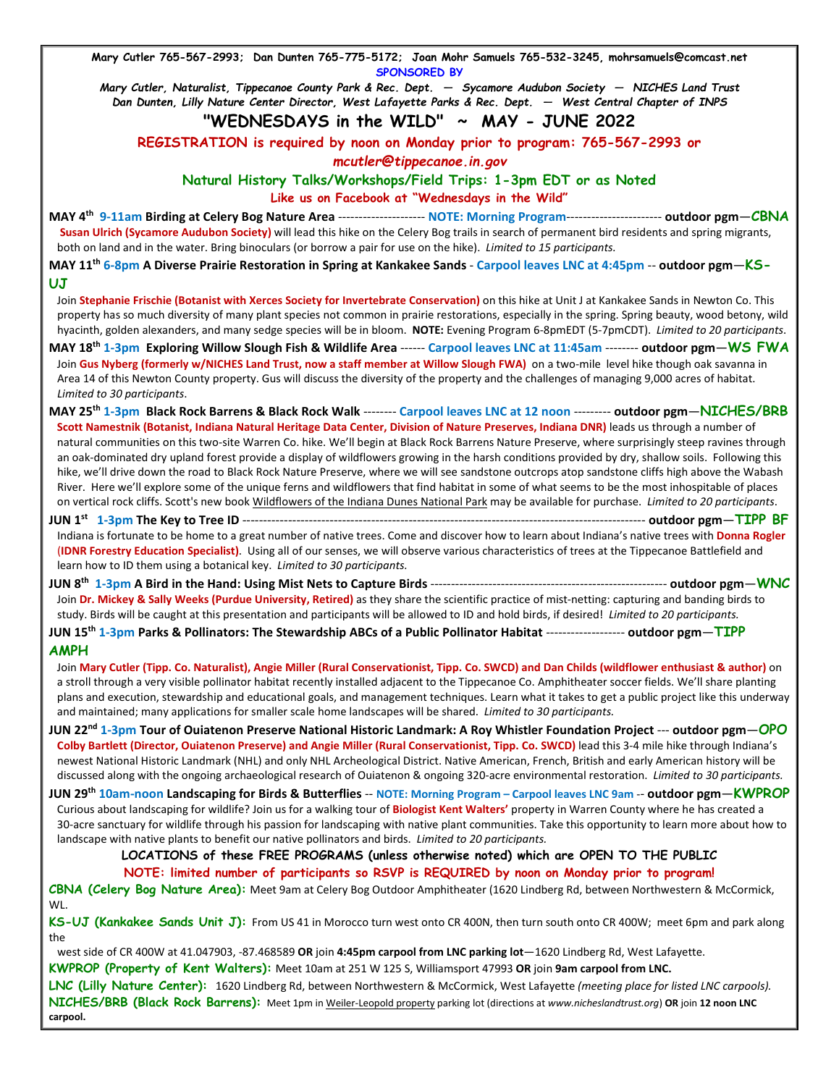| Mary Cutler 765-567-2993; Dan Dunten 765-775-5172; Joan Mohr Samuels 765-532-3245, mohrsamuels@comcast.net<br><b>SPONSORED BY</b>                                                                                                                                                                                                                                                                                                                                                                                                                                                                                                                                                                                                                          |
|------------------------------------------------------------------------------------------------------------------------------------------------------------------------------------------------------------------------------------------------------------------------------------------------------------------------------------------------------------------------------------------------------------------------------------------------------------------------------------------------------------------------------------------------------------------------------------------------------------------------------------------------------------------------------------------------------------------------------------------------------------|
| Mary Cutler, Naturalist, Tippecanoe County Park & Rec. Dept. - Sycamore Audubon Society - NICHES Land Trust                                                                                                                                                                                                                                                                                                                                                                                                                                                                                                                                                                                                                                                |
| Dan Dunten, Lilly Nature Center Director, West Lafayette Parks & Rec. Dept. - West Central Chapter of INPS<br>"WEDNESDAYS in the WILD" $\sim$ MAY - JUNE 2022                                                                                                                                                                                                                                                                                                                                                                                                                                                                                                                                                                                              |
|                                                                                                                                                                                                                                                                                                                                                                                                                                                                                                                                                                                                                                                                                                                                                            |
| REGISTRATION is required by noon on Monday prior to program: 765-567-2993 or<br>mcutler@tippecanoe.in.gov                                                                                                                                                                                                                                                                                                                                                                                                                                                                                                                                                                                                                                                  |
| Natural History Talks/Workshops/Field Trips: 1-3pm EDT or as Noted                                                                                                                                                                                                                                                                                                                                                                                                                                                                                                                                                                                                                                                                                         |
| Like us on Facebook at "Wednesdays in the Wild"                                                                                                                                                                                                                                                                                                                                                                                                                                                                                                                                                                                                                                                                                                            |
| MAY 4 <sup>th</sup> 9-11am Birding at Celery Bog Nature Area --------------------- NOTE: Morning Program----------------------- outdoor pgm-CBNA                                                                                                                                                                                                                                                                                                                                                                                                                                                                                                                                                                                                           |
| Susan Ulrich (Sycamore Audubon Society) will lead this hike on the Celery Bog trails in search of permanent bird residents and spring migrants,<br>both on land and in the water. Bring binoculars (or borrow a pair for use on the hike). Limited to 15 participants.                                                                                                                                                                                                                                                                                                                                                                                                                                                                                     |
| MAY 11 <sup>th</sup> 6-8pm A Diverse Prairie Restoration in Spring at Kankakee Sands - Carpool leaves LNC at 4:45pm -- outdoor pgm-KS-<br>UJ                                                                                                                                                                                                                                                                                                                                                                                                                                                                                                                                                                                                               |
| Join Stephanie Frischie (Botanist with Xerces Society for Invertebrate Conservation) on this hike at Unit J at Kankakee Sands in Newton Co. This                                                                                                                                                                                                                                                                                                                                                                                                                                                                                                                                                                                                           |
| property has so much diversity of many plant species not common in prairie restorations, especially in the spring. Spring beauty, wood betony, wild<br>hyacinth, golden alexanders, and many sedge species will be in bloom. NOTE: Evening Program 6-8pmEDT (5-7pmCDT). Limited to 20 participants.                                                                                                                                                                                                                                                                                                                                                                                                                                                        |
| MAY 18 <sup>th</sup> 1-3pm Exploring Willow Slough Fish & Wildlife Area ------ Carpool leaves LNC at 11:45am -------- outdoor pgm-WS FWA                                                                                                                                                                                                                                                                                                                                                                                                                                                                                                                                                                                                                   |
| Join Gus Nyberg (formerly w/NICHES Land Trust, now a staff member at Willow Slough FWA) on a two-mile level hike though oak savanna in<br>Area 14 of this Newton County property. Gus will discuss the diversity of the property and the challenges of managing 9,000 acres of habitat.<br>Limited to 30 participants.                                                                                                                                                                                                                                                                                                                                                                                                                                     |
| MAY 25th 1-3pm Black Rock Barrens & Black Rock Walk -------- Carpool leaves LNC at 12 noon --------- outdoor pgm-NICHES/BRB                                                                                                                                                                                                                                                                                                                                                                                                                                                                                                                                                                                                                                |
| Scott Namestnik (Botanist, Indiana Natural Heritage Data Center, Division of Nature Preserves, Indiana DNR) leads us through a number of<br>natural communities on this two-site Warren Co. hike. We'll begin at Black Rock Barrens Nature Preserve, where surprisingly steep ravines through<br>an oak-dominated dry upland forest provide a display of wildflowers growing in the harsh conditions provided by dry, shallow soils. Following this<br>hike, we'll drive down the road to Black Rock Nature Preserve, where we will see sandstone outcrops atop sandstone cliffs high above the Wabash<br>River. Here we'll explore some of the unique ferns and wildflowers that find habitat in some of what seems to be the most inhospitable of places |
| on vertical rock cliffs. Scott's new book Wildflowers of the Indiana Dunes National Park may be available for purchase. Limited to 20 participants.                                                                                                                                                                                                                                                                                                                                                                                                                                                                                                                                                                                                        |
| Indiana is fortunate to be home to a great number of native trees. Come and discover how to learn about Indiana's native trees with Donna Rogler                                                                                                                                                                                                                                                                                                                                                                                                                                                                                                                                                                                                           |
| (IDNR Forestry Education Specialist). Using all of our senses, we will observe various characteristics of trees at the Tippecanoe Battlefield and                                                                                                                                                                                                                                                                                                                                                                                                                                                                                                                                                                                                          |
| learn how to ID them using a botanical key. Limited to 30 participants.                                                                                                                                                                                                                                                                                                                                                                                                                                                                                                                                                                                                                                                                                    |
|                                                                                                                                                                                                                                                                                                                                                                                                                                                                                                                                                                                                                                                                                                                                                            |
| Join Dr. Mickey & Sally Weeks (Purdue University, Retired) as they share the scientific practice of mist-netting: capturing and banding birds to<br>study. Birds will be caught at this presentation and participants will be allowed to ID and hold birds, if desired! Limited to 20 participants.                                                                                                                                                                                                                                                                                                                                                                                                                                                        |
| JUN 15th 1-3pm Parks & Pollinators: The Stewardship ABCs of a Public Pollinator Habitat ------------------- outdoor pgm-TIPP                                                                                                                                                                                                                                                                                                                                                                                                                                                                                                                                                                                                                               |
| <b>AMPH</b><br>Join Mary Cutler (Tipp. Co. Naturalist), Angie Miller (Rural Conservationist, Tipp. Co. SWCD) and Dan Childs (wildflower enthusiast & author) on                                                                                                                                                                                                                                                                                                                                                                                                                                                                                                                                                                                            |
| a stroll through a very visible pollinator habitat recently installed adjacent to the Tippecanoe Co. Amphitheater soccer fields. We'll share planting<br>plans and execution, stewardship and educational goals, and management techniques. Learn what it takes to get a public project like this underway<br>and maintained; many applications for smaller scale home landscapes will be shared. Limited to 30 participants.                                                                                                                                                                                                                                                                                                                              |
| JUN 22 <sup>nd</sup> 1-3pm Tour of Ouiatenon Preserve National Historic Landmark: A Roy Whistler Foundation Project --- outdoor pgm-OPO                                                                                                                                                                                                                                                                                                                                                                                                                                                                                                                                                                                                                    |
| Colby Bartlett (Director, Ouiatenon Preserve) and Angie Miller (Rural Conservationist, Tipp. Co. SWCD) lead this 3-4 mile hike through Indiana's                                                                                                                                                                                                                                                                                                                                                                                                                                                                                                                                                                                                           |
| newest National Historic Landmark (NHL) and only NHL Archeological District. Native American, French, British and early American history will be<br>discussed along with the ongoing archaeological research of Ouiatenon & ongoing 320-acre environmental restoration. Limited to 30 participants.                                                                                                                                                                                                                                                                                                                                                                                                                                                        |
| JUN 29th 10am-noon Landscaping for Birds & Butterflies -- NOTE: Morning Program - Carpool leaves LNC 9am -- outdoor pgm-KWPROP<br>Curious about landscaping for wildlife? Join us for a walking tour of Biologist Kent Walters' property in Warren County where he has created a<br>30-acre sanctuary for wildlife through his passion for landscaping with native plant communities. Take this opportunity to learn more about how to<br>landscape with native plants to benefit our native pollinators and birds. Limited to 20 participants.                                                                                                                                                                                                            |
| LOCATIONS of these FREE PROGRAMS (unless otherwise noted) which are OPEN TO THE PUBLIC                                                                                                                                                                                                                                                                                                                                                                                                                                                                                                                                                                                                                                                                     |
| NOTE: limited number of participants so RSVP is REQUIRED by noon on Monday prior to program!                                                                                                                                                                                                                                                                                                                                                                                                                                                                                                                                                                                                                                                               |
| CBNA (Celery Bog Nature Area): Meet 9am at Celery Bog Outdoor Amphitheater (1620 Lindberg Rd, between Northwestern & McCormick,<br>WL.                                                                                                                                                                                                                                                                                                                                                                                                                                                                                                                                                                                                                     |
| KS-UJ (Kankakee Sands Unit J): From US 41 in Morocco turn west onto CR 400N, then turn south onto CR 400W; meet 6pm and park along<br>the                                                                                                                                                                                                                                                                                                                                                                                                                                                                                                                                                                                                                  |
| west side of CR 400W at 41.047903, -87.468589 OR join 4:45pm carpool from LNC parking lot-1620 Lindberg Rd, West Lafayette.                                                                                                                                                                                                                                                                                                                                                                                                                                                                                                                                                                                                                                |
| KWPROP (Property of Kent Walters): Meet 10am at 251 W 125 S, Williamsport 47993 OR join 9am carpool from LNC.                                                                                                                                                                                                                                                                                                                                                                                                                                                                                                                                                                                                                                              |
| LNC (Lilly Nature Center): 1620 Lindberg Rd, between Northwestern & McCormick, West Lafayette (meeting place for listed LNC carpools).<br>NICHES/BRB (Black Rock Barrens): Meet 1pm in Weiler-Leopold property parking lot (directions at www.nicheslandtrust.org) OR join 12 noon LNC<br>carpool.                                                                                                                                                                                                                                                                                                                                                                                                                                                         |
|                                                                                                                                                                                                                                                                                                                                                                                                                                                                                                                                                                                                                                                                                                                                                            |